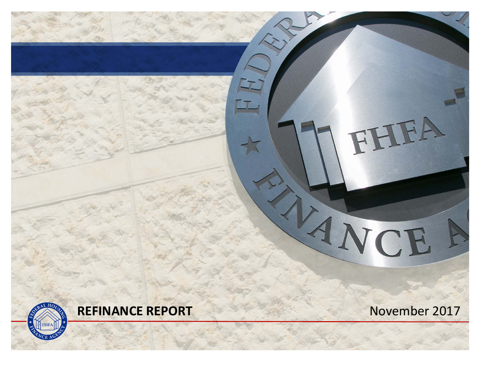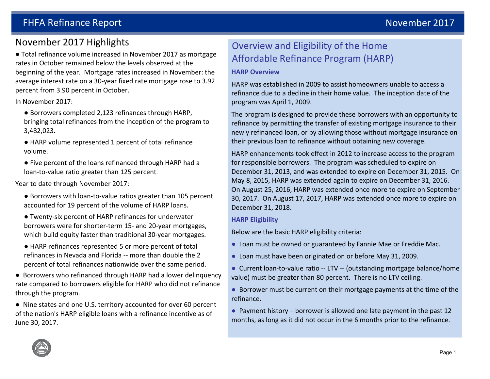### November 2017 Highlights

● Total refinance volume increased in November 2017 as mortgage rates in October remained below the levels observed at thebeginning of the year. Mortgage rates increased in November: the average interest rate on a 30‐year fixed rate mortgage rose to 3.92 percent from 3.90 percent in October.

In November 2017:

- Borrowers completed 2,123 refinances through HARP, bringing total refinances from the inception of the program to 3,482,023.
- HARP volume represented 1 percent of total refinance volume.
- Five percent of the loans refinanced through HARP had a loan‐to‐value ratio greater than 125 percent.

Year to date through November 2017:

- Borrowers with loan-to-value ratios greater than 105 percent accounted for 19 percent of the volume of HARP loans.
- Twenty-six percent of HARP refinances for underwater borrowers were for shorter‐term 15‐ and 20‐year mortgages, which build equity faster than traditional 30-year mortgages.
- HARP refinances represented 5 or more percent of total refinances in Nevada and Florida ‐‐ more than double the 2percent of total refinances nationwide over the same period.
- Borrowers who refinanced through HARP had a lower delinquency rate compared to borrowers eligible for HARP who did not refinancethrough the program.

● Nine states and one U.S. territory accounted for over 60 percent of the nation's HARP eligible loans with a refinance incentive as ofJune 30, 2017.

# Overview and Eligibility of the Home Affordable Refinance Program (HARP)

### **HARP Overview**

HARP was established in 2009 to assist homeowners unable to access a refinance due to a decline in their home value. The inception date of the program was April 1, 2009.

The program is designed to provide these borrowers with an opportunity to refinance by permitting the transfer of existing mortgage insurance to their newly refinanced loan, or by allowing those without mortgage insurance on their previous loan to refinance without obtaining new coverage.

HARP enhancements took effect in 2012 to increase access to the program for responsible borrowers. The program was scheduled to expire on December 31, 2013, and was extended to expire on December 31, 2015. On May 8, 2015, HARP was extended again to expire on December 31, 2016. On August 25, 2016, HARP was extended once more to expire on September 30, 2017. On August 17, 2017, HARP was extended once more to expire on December 31, 2018.

### **HARP Eligibility**

Below are the basic HARP eligibility criteria:

- Loan must be owned or guaranteed by Fannie Mae or Freddie Mac.
- Loan must have been originated on or before May 31, 2009.
- Current loan-to-value ratio -- LTV -- (outstanding mortgage balance/home value) must be greater than 80 percent. There is no LTV ceiling.
- Borrower must be current on their mortgage payments at the time of the refinance.
- Payment history borrower is allowed one late payment in the past 12 months, as long as it did not occur in the 6 months prior to the refinance.

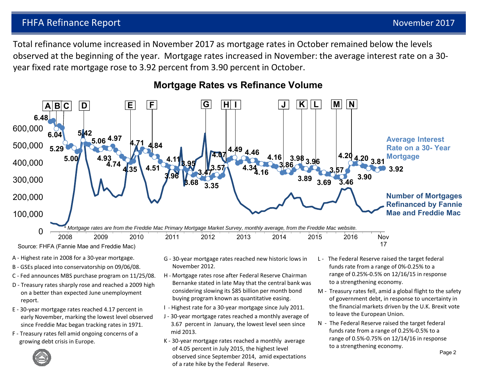Total refinance volume increased in November 2017 as mortgage rates in October remained below the levels observed at the beginning of the year. Mortgage rates increased in November: the average interest rate on a 30‐ year fixed rate mortgage rose to 3.92 percent from 3.90 percent in October.



### **Mortgage Rates vs Refinance Volume**

- A ‐ Highest rate in 2008 for a 30‐year mortgage.
- B ‐ GSEs placed into conservatorship on 09/06/08.
- C ‐ Fed announces MBS purchase program on 11/25/08.
- D ‐ Treasury rates sharply rose and reached a 2009 high on a better than expected June unemployment report.
- E ‐ 30‐year mortgage rates reached 4.17 percent in early November, marking the lowest level observed since Freddie Mac began tracking rates in 1971.
- F ‐ Treasury rates fell amid ongoing concerns of a growing debt crisis in Europe.
- G ‐ 30‐year mortgage rates reached new historic lows in November 2012.
- H ‐ Mortgage rates rose after Federal Reserve Chairman Bernanke stated in late May that the central bank was considering slowing its \$85 billion per month bond buying program known as quantitative easing.
- I ‐ Highest rate for a 30‐year mortgage since July 2011.
- J ‐ 30‐year mortgage rates reached a monthly average of 3.67 percent in January, the lowest level seen since mid 2013.
- K ‐ 30‐year mortgage rates reached a monthly average of 4.05 percent in July 2015, the highest level observed since September 2014, amid expectations of a rate hike by the Federal Reserve.
- L ‐ The Federal Reserve raised the target federal funds rate from a range of 0%‐0.25% to a range of 0.25%‐0.5% on 12/16/15 in response to a strengthening economy.
- M ‐ Treasury rates fell, amid a global flight to the safety of government debt, in response to uncertainty in the financial markets driven by the U.K. Brexit vote to leave the European Union.
- N The Federal Reserve raised the target federal funds rate from a range of 0.25%‐0.5% to a range of 0.5%‐0.75% on 12/14/16 in response to a strengthening economy.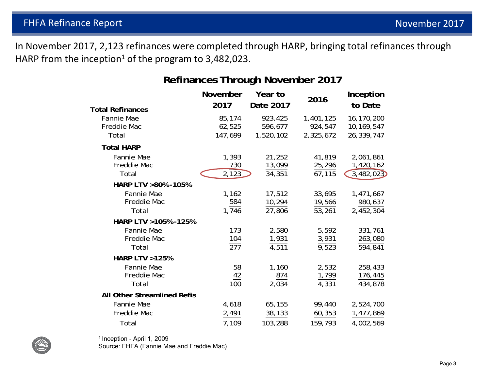In November 2017, 2,123 refinances were completed through HARP, bringing total refinances through HARP from the inception<sup>1</sup> of the program to 3,482,023.

## **Refinances Through November 2017**

| <b>Total Refinances</b>                   | November<br>2017               | Year to<br>Date 2017                    | 2016                              | Inception<br>to Date                   |
|-------------------------------------------|--------------------------------|-----------------------------------------|-----------------------------------|----------------------------------------|
| Fannie Mae<br>Freddie Mac<br>Total        | 85,174<br>62,525<br>147,699    | 923,425<br>596,677<br>1,520,102         | 1,401,125<br>924,547<br>2,325,672 | 16,170,200<br>10,169,547<br>26,339,747 |
| <b>Total HARP</b>                         |                                |                                         |                                   |                                        |
| Fannie Mae<br>Freddie Mac<br>Total        | 1,393<br>730<br>2,123          | 21,252<br>13,099<br>$34,35\overline{1}$ | 41,819<br>25,296<br>67,115        | 2,061,861<br>1,420,162<br>3,482,023    |
| HARP LTV >80% -105%                       |                                |                                         |                                   |                                        |
| <b>Fannie Mae</b><br>Freddie Mac<br>Total | 1,162<br>584<br>1,746          | 17,512<br>10,294<br>27,806              | 33,695<br>19,566<br>53,261        | 1,471,667<br>980,637<br>2,452,304      |
| HARP LTV > 105% - 125%                    |                                |                                         |                                   |                                        |
| Fannie Mae<br>Freddie Mac<br>Total        | 173<br>104<br>$\overline{277}$ | 2,580<br>1,931<br>$\overline{4,511}$    | 5,592<br>3,931<br>9,523           | 331,761<br>263,080<br>594,841          |
| <b>HARP LTV &gt;125%</b>                  |                                |                                         |                                   |                                        |
| Fannie Mae<br>Freddie Mac<br>Total        | 58<br>42<br>100                | 1,160<br>874<br>2,034                   | 2,532<br>1,799<br>4,331           | 258,433<br>176,445<br>434,878          |
| All Other Streamlined Refis               |                                |                                         |                                   |                                        |
| Fannie Mae                                | 4,618                          | 65,155                                  | 99,440                            | 2,524,700                              |
| Freddie Mac                               | 2,491                          | 38,133                                  | 60,353                            | 1,477,869                              |
| Total                                     | 7,109                          | 103,288                                 | 159,793                           | 4,002,569                              |



1 Inception - April 1, 2009

Source: FHFA (Fannie Mae and Freddie Mac)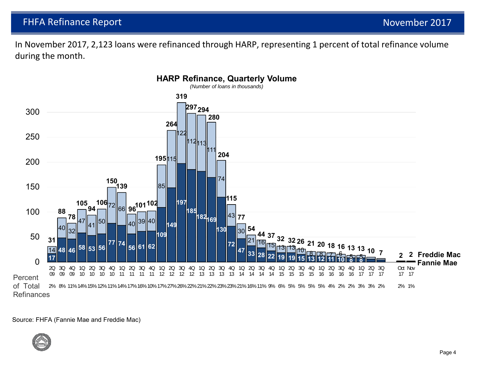In November 2017, 2,123 loans were refinanced through HARP, representing 1 percent of total refinance volume during the month.



#### . Source: FHFA (Fannie Mae and Freddie Mac)

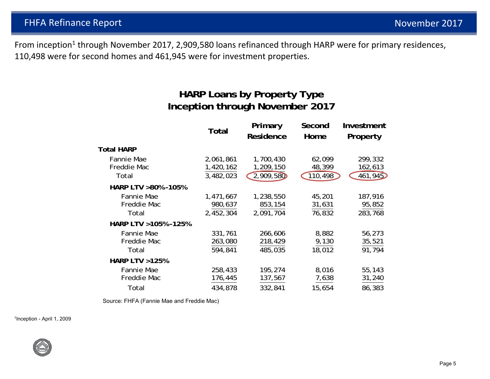From inception<sup>1</sup> through November 2017, 2,909,580 loans refinanced through HARP were for primary residences, 110,498 were for second homes and 461,945 were for investment properties.

## **HARP Loans by Property Type Inception through November 2017**

|                          | <b>Total</b> | Primary<br>Residence | Second<br>Home | Investment<br>Property |
|--------------------------|--------------|----------------------|----------------|------------------------|
| <b>Total HARP</b>        |              |                      |                |                        |
| Fannie Mae               | 2,061,861    | 1,700,430            | 62,099         | 299,332                |
| Freddie Mac              | 1,420,162    | 1,209,150            | 48,399         | 162,613                |
| Total                    | 3,482,023    | 2,909,580            | 110,498        | 461,945                |
| HARP LTV >80% -105%      |              |                      |                |                        |
| Fannie Mae               | 1,471,667    | 1,238,550            | 45,201         | 187,916                |
| Freddie Mac              | 980,637      | 853,154              | 31,631         | 95,852                 |
| Total                    | 2,452,304    | 2,091,704            | 76,832         | 283,768                |
| HARP LTV > 105% - 125%   |              |                      |                |                        |
| Fannie Mae               | 331,761      | 266,606              | 8,882          | 56,273                 |
| Freddie Mac              | 263,080      | 218,429              | 9,130          | 35,521                 |
| Total                    | 594,841      | 485,035              | 18,012         | 91,794                 |
| <b>HARP LTV &gt;125%</b> |              |                      |                |                        |
| Fannie Mae               | 258,433      | 195,274              | 8,016          | 55,143                 |
| Freddie Mac              | 176,445      | 137,567              | 7,638          | 31,240                 |
| Total                    | 434,878      | 332,841              | 15,654         | 86,383                 |

Source: FHFA (Fannie Mae and Freddie Mac)

1Inception - April 1, 2009

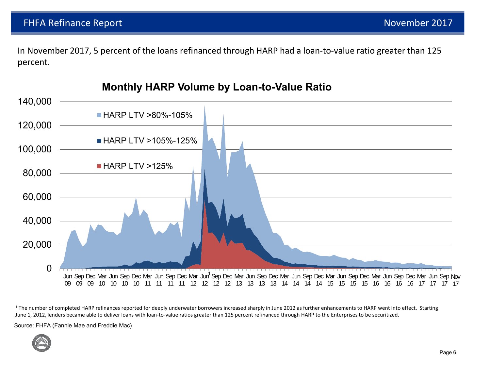In November 2017, 5 percent of the loans refinanced through HARP had a loan-to-value ratio greater than 125 percent.



**Monthly HARP Volume by Loan-to-Value Ratio**

<sup>1</sup> The number of completed HARP refinances reported for deeply underwater borrowers increased sharply in June 2012 as further enhancements to HARP went into effect. Starting June 1, 2012, lenders became able to deliver loans with loan-to-value ratios greater than 125 percent refinanced through HARP to the Enterprises to be securitized.

Source: FHFA (Fannie Mae and Freddie Mac)

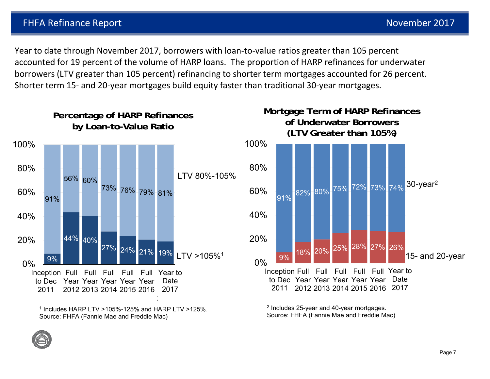Year to date through November 2017, borrowers with loan‐to‐value ratios greater than 105 percent accounted for 19 percent of the volume of HARP loans. The proportion of HARP refinances for underwater borrowers (LTV greater than 105 percent) refinancing to shorter term mortgages accounted for 26 percent. Shorter term 15‐ and 20‐year mortgages build equity faster than traditional 30‐year mortgages.



 $1$  Includes HARP LTV >105%-125% and HARP LTV >125%. Source: FHFA (Fannie Mae and Freddie Mac)

 $2$  Includes 25-year and 40-year mortgages. Source: FHFA (Fannie Mae and Freddie Mac)

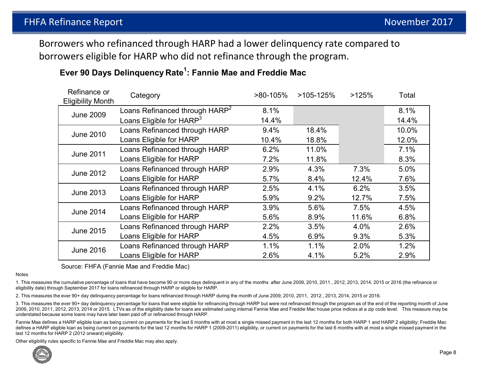Borrowers who refinanced through HARP had a lower delinquency rate compared to borrowers eligible for HARP who did not refinance through the program.

| Refinance or<br><b>Eligibility Month</b> | Category                                   | $>80-105%$ | $>105-125%$ | >125% | Total |
|------------------------------------------|--------------------------------------------|------------|-------------|-------|-------|
| <b>June 2009</b>                         | Loans Refinanced through HARP <sup>2</sup> | 8.1%       |             |       | 8.1%  |
|                                          | Loans Eligible for HARP <sup>3</sup>       | 14.4%      |             |       | 14.4% |
| <b>June 2010</b>                         | Loans Refinanced through HARP              | 9.4%       | 18.4%       |       | 10.0% |
|                                          | Loans Eligible for HARP                    | 10.4%      | 18.8%       |       | 12.0% |
| <b>June 2011</b>                         | Loans Refinanced through HARP              | 6.2%       | 11.0%       |       | 7.1%  |
|                                          | Loans Eligible for HARP                    | 7.2%       | 11.8%       |       | 8.3%  |
| <b>June 2012</b>                         | Loans Refinanced through HARP              | 2.9%       | 4.3%        | 7.3%  | 5.0%  |
|                                          | Loans Eligible for HARP                    | 5.7%       | 8.4%        | 12.4% | 7.6%  |
| <b>June 2013</b>                         | Loans Refinanced through HARP              | 2.5%       | 4.1%        | 6.2%  | 3.5%  |
|                                          | Loans Eligible for HARP                    | 5.9%       | 9.2%        | 12.7% | 7.5%  |
| <b>June 2014</b>                         | Loans Refinanced through HARP              | 3.9%       | 5.6%        | 7.5%  | 4.5%  |
|                                          | Loans Eligible for HARP                    | 5.6%       | 8.9%        | 11.6% | 6.8%  |
| <b>June 2015</b>                         | Loans Refinanced through HARP              | 2.2%       | 3.5%        | 4.0%  | 2.6%  |
|                                          | Loans Eligible for HARP                    | 4.5%       | 6.9%        | 9.3%  | 5.3%  |
| <b>June 2016</b>                         | Loans Refinanced through HARP              | 1.1%       | 1.1%        | 2.0%  | 1.2%  |
|                                          | Loans Eligible for HARP                    | 2.6%       | 4.1%        | 5.2%  | 2.9%  |

### **Ever 90 Days Delinquency Rate1: Fannie Mae and Freddie Mac**

Source: FHFA (Fannie Mae and Freddie Mac)

Notes

1. This measures the cumulative percentage of loans that have become 90 or more days delinquent in any of the months after June 2009, 2010, 2011 , 2012, 2013, 2014, 2015 or 2016 (the refinance or eligibility date) through September 2017 for loans refinanced through HARP or eligible for HARP.

2. This measures the ever 90+ day delinquency percentage for loans refinanced through HARP during the month of June 2009, 2010, 2011, 2012 , 2013, 2014, 2015 or 2016.

3. This measures the ever 90+ day delinquency percentage for loans that were eligible for refinancing through HARP but were not refinanced through the program as of the end of the reporting month of June 2009, 2010, 2011, 2012, 2013, 2014 or 2015. LTVs as of the eligibility date for loans are estimated using internal Fannie Mae and Freddie Mac house price indices at a zip code level. This measure may be understated because some loans may have later been paid off or refinanced through HARP.

Fannie Mae defines a HARP eligible loan as being current on payments for the last 6 months with at most a single missed payment in the last 12 months for both HARP 1 and HARP 2 eligibility; Freddie Mac defines a HARP eligible loan as being current on payments for the last 12 months for HARP 1 (2009-2011) eligibility, or current on payments for the last 6 months with at most a single missed payment in the last 12 months for HARP 2 (2012 onward) eligibility.

Other eligibility rules specific to Fannie Mae and Freddie Mac may also apply.

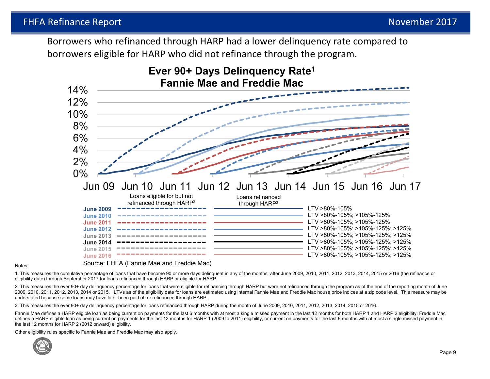Borrowers who refinanced through HARP had a lower delinquency rate compared to borrowers eligible for HARP who did not refinance through the program.



#### Notes

Source: FHFA (Fannie Mae and Freddie Mac)

1. This measures the cumulative percentage of loans that have become 90 or more days delinquent in any of the months after June 2009, 2010, 2011, 2012, 2013, 2014, 2015 or 2016 (the refinance or eligibility date) through September 2017 for loans refinanced through HARP or eligible for HARP.

2. This measures the ever 90+ day delinquency percentage for loans that were eligible for refinancing through HARP but were not refinanced through the program as of the end of the reporting month of June 2009, 2010, 2011, 2012, 2013, 2014 or 2015. LTVs as of the eligibility date for loans are estimated using internal Fannie Mae and Freddie Mac house price indices at a zip code level. This measure may be understated because some loans may have later been paid off or refinanced through HARP.

3. This measures the ever 90+ day delinquency percentage for loans refinanced through HARP during the month of June 2009, 2010, 2011, 2012, 2013, 2014, 2015 or 2016.

Fannie Mae defines a HARP eligible loan as being current on payments for the last 6 months with at most a single missed payment in the last 12 months for both HARP 1 and HARP 2 eligibility; Freddie Mac defines a HARP eligible loan as being current on payments for the last 12 months for HARP 1 (2009 to 2011) eligibility, or current on payments for the last 6 months with at most a single missed payment in the last 12 months for HARP 2 (2012 onward) eligibility.

Other eligibility rules specific to Fannie Mae and Freddie Mac may also apply.

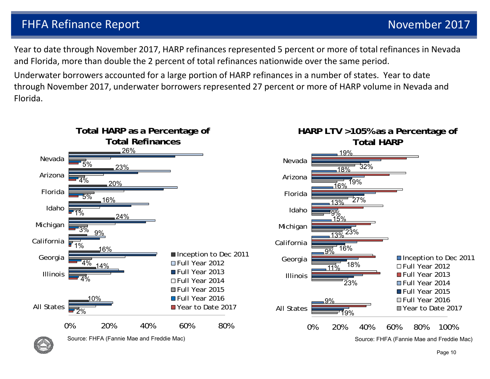Year to date through November 2017, HARP refinances represented 5 percent or more of total refinances in Nevada and Florida, more than double the 2 percent of total refinances nationwide over the same period.

Underwater borrowers accounted for a large portion of HARP refinances in a number of states. Year to date through November 2017, underwater borrowers represented 27 percent or more of HARP volume in Nevada and Florida.



Page 10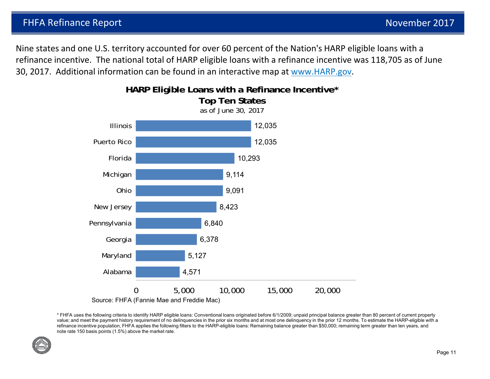Nine states and one U.S. territory accounted for over 60 percent of the Nation's HARP eligible loans with a refinance incentive. The national total of HARP eligible loans with a refinance incentive was 118,705 as of June 30, 2017. Additional information can be found in an interactive map at www.HARP.gov.



\* FHFA uses the following criteria to identify HARP eligible loans: Conventional loans originated before 6/1/2009; unpaid principal balance greater than 80 percent of current property value; and meet the payment history requirement of no delinquencies in the prior six months and at most one delinquency in the prior 12 months. To estimate the HARP-eligible with a refinance incentive population, FHFA applies the following filters to the HARP-eligible loans: Remaining balance greater than \$50,000; remaining term greater than ten years, and note rate 150 basis points (1.5%) above the market rate.

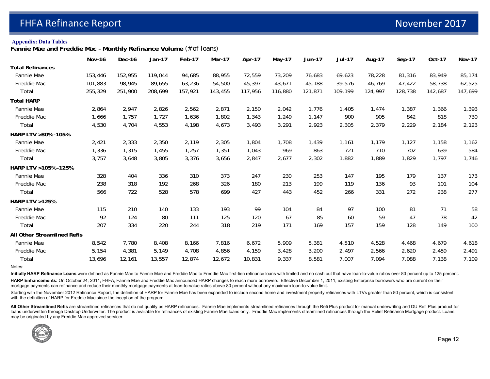#### **Appendix: Data Tables**

**Fannie Mae and Freddie Mac - Monthly Refinance Volume** *(# of loans)*

|                             | <b>Nov-16</b> | Dec-16  | Jan-17  | Feb-17  | Mar-17  | Apr-17  | May-17  | <b>Jun-17</b> | <b>Jul-17</b> | Aug-17  | Sep-17  | Oct-17  | <b>Nov-17</b> |
|-----------------------------|---------------|---------|---------|---------|---------|---------|---------|---------------|---------------|---------|---------|---------|---------------|
| <b>Total Refinances</b>     |               |         |         |         |         |         |         |               |               |         |         |         |               |
| Fannie Mae                  | 153,446       | 152,955 | 119,044 | 94,685  | 88,955  | 72,559  | 73,209  | 76,683        | 69,623        | 78,228  | 81,316  | 83,949  | 85,174        |
| Freddie Mac                 | 101,883       | 98,945  | 89,655  | 63,236  | 54,500  | 45,397  | 43,671  | 45,188        | 39,576        | 46,769  | 47,422  | 58,738  | 62,525        |
| Total                       | 255,329       | 251,900 | 208,699 | 157,921 | 143,455 | 117,956 | 116,880 | 121,871       | 109,199       | 124,997 | 128,738 | 142,687 | 147,699       |
| <b>Total HARP</b>           |               |         |         |         |         |         |         |               |               |         |         |         |               |
| Fannie Mae                  | 2,864         | 2,947   | 2,826   | 2,562   | 2,871   | 2,150   | 2,042   | 1,776         | 1,405         | 1,474   | 1,387   | 1,366   | 1,393         |
| Freddie Mac                 | 1,666         | 1,757   | 1,727   | 1,636   | 1,802   | 1,343   | 1,249   | 1,147         | 900           | 905     | 842     | 818     | 730           |
| Total                       | 4,530         | 4,704   | 4,553   | 4,198   | 4,673   | 3,493   | 3,291   | 2,923         | 2,305         | 2,379   | 2,229   | 2,184   | 2,123         |
| HARP LTV >80% -105%         |               |         |         |         |         |         |         |               |               |         |         |         |               |
| Fannie Mae                  | 2,421         | 2,333   | 2,350   | 2,119   | 2,305   | 1,804   | 1,708   | 1,439         | 1,161         | 1,179   | 1,127   | 1,158   | 1,162         |
| Freddie Mac                 | 1,336         | 1,315   | 1,455   | 1,257   | 1,351   | 1,043   | 969     | 863           | 721           | 710     | 702     | 639     | 584           |
| Total                       | 3,757         | 3,648   | 3,805   | 3,376   | 3,656   | 2,847   | 2,677   | 2,302         | 1,882         | 1,889   | 1,829   | 1,797   | 1,746         |
| HARP LTV > 105% - 125%      |               |         |         |         |         |         |         |               |               |         |         |         |               |
| Fannie Mae                  | 328           | 404     | 336     | 310     | 373     | 247     | 230     | 253           | 147           | 195     | 179     | 137     | 173           |
| Freddie Mac                 | 238           | 318     | 192     | 268     | 326     | 180     | 213     | 199           | 119           | 136     | 93      | 101     | 104           |
| Total                       | 566           | 722     | 528     | 578     | 699     | 427     | 443     | 452           | 266           | 331     | 272     | 238     | 277           |
| <b>HARP LTV &gt;125%</b>    |               |         |         |         |         |         |         |               |               |         |         |         |               |
| Fannie Mae                  | 115           | 210     | 140     | 133     | 193     | 99      | 104     | 84            | 97            | 100     | 81      | 71      | 58            |
| Freddie Mac                 | 92            | 124     | 80      | 111     | 125     | 120     | 67      | 85            | 60            | 59      | 47      | 78      | 42            |
| Total                       | 207           | 334     | 220     | 244     | 318     | 219     | 171     | 169           | 157           | 159     | 128     | 149     | 100           |
| All Other Streamlined Refis |               |         |         |         |         |         |         |               |               |         |         |         |               |
| Fannie Mae                  | 8,542         | 7,780   | 8,408   | 8,166   | 7,816   | 6,672   | 5,909   | 5,381         | 4,510         | 4,528   | 4,468   | 4,679   | 4,618         |
| Freddie Mac                 | 5,154         | 4,381   | 5,149   | 4,708   | 4,856   | 4,159   | 3,428   | 3,200         | 2,497         | 2,566   | 2,620   | 2,459   | 2,491         |
| Total                       | 13,696        | 12,161  | 13,557  | 12,874  | 12,672  | 10,831  | 9,337   | 8,581         | 7,007         | 7,094   | 7,088   | 7,138   | 7,109         |

Notes:

Initially HARP Refinance Loans were defined as Fannie Mae to Fannie Mae and Freddie Mac to Freddie Mac first-lien refinance loans with limited and no cash out that have loan-to-value ratios over 80 percent up to 125 percen HARP Enhancements: On October 24, 2011, FHFA, Fannie Mae and Freddie Mac announced HARP changes to reach more borrowers. Effective December 1, 2011, existing Enterprise borrowers who are current on their

mortgage payments can refinance and reduce their monthly mortgage payments at loan-to-value ratios above 80 percent without any maximum loan-to-value limit.

Starting with the November 2012 Refinance Report, the definition of HARP for Fannie Mae has been expanded to include second home and investment property refinances with LTVs greater than 80 percent, which is consistent with the definition of HARP for Freddie Mac since the inception of the program.

All Other Streamlined Refis are streamlined refinances that do not qualify as HARP refinances. Fannie Mae implements streamlined refinances through the Refi Plus product for manual underwriting and DU Refi Plus product for loans underwritten through Desktop Underwriter. The product is available for refinances of existing Fannie Mae loans only. Freddie Mac implements streamlined refinances through the Relief Refinance Mortgage product. Loans may be originated by any Freddie Mac approved servicer.

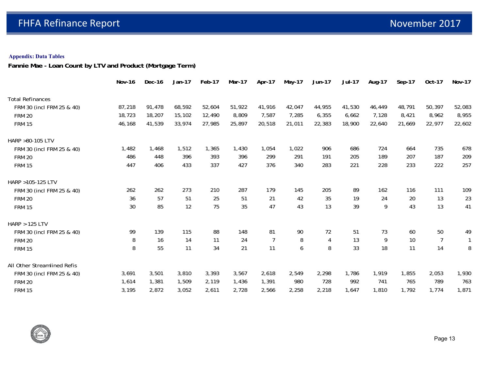### **Appendix: Data Tables**

**Fannie Mae - Loan Count by LTV and Product (Mortgage Term)**

|                             | <b>Nov-16</b> | Dec-16 | Jan-17 | Feb-17 | Mar-17 | Apr-17         | May-17 | Jun-17 | <b>Jul-17</b> | Aug-17 | Sep-17 | Oct-17         | <b>Nov-17</b> |
|-----------------------------|---------------|--------|--------|--------|--------|----------------|--------|--------|---------------|--------|--------|----------------|---------------|
| <b>Total Refinances</b>     |               |        |        |        |        |                |        |        |               |        |        |                |               |
| FRM 30 (incl FRM 25 & 40)   | 87,218        | 91,478 | 68,592 | 52,604 | 51,922 | 41,916         | 42,047 | 44,955 | 41,530        | 46,449 | 48,791 | 50,397         | 52,083        |
| <b>FRM 20</b>               | 18,723        | 18,207 | 15,102 | 12,490 | 8,809  | 7,587          | 7,285  | 6,355  | 6,662         | 7,128  | 8,421  | 8,962          | 8,955         |
| <b>FRM 15</b>               | 46,168        | 41,539 | 33,974 | 27,985 | 25,897 | 20,518         | 21,011 | 22,383 | 18,900        | 22,640 | 21,669 | 22,977         | 22,602        |
| HARP >80-105 LTV            |               |        |        |        |        |                |        |        |               |        |        |                |               |
| FRM 30 (incl FRM 25 & 40)   | 1,482         | 1,468  | 1,512  | 1,365  | 1,430  | 1,054          | 1,022  | 906    | 686           | 724    | 664    | 735            | 678           |
| <b>FRM 20</b>               | 486           | 448    | 396    | 393    | 396    | 299            | 291    | 191    | 205           | 189    | 207    | 187            | 209           |
| <b>FRM 15</b>               | 447           | 406    | 433    | 337    | 427    | 376            | 340    | 283    | 221           | 228    | 233    | 222            | 257           |
| HARP >105-125 LTV           |               |        |        |        |        |                |        |        |               |        |        |                |               |
| FRM 30 (incl FRM 25 & 40)   | 262           | 262    | 273    | 210    | 287    | 179            | 145    | 205    | 89            | 162    | 116    | 111            | 109           |
| <b>FRM 20</b>               | 36            | 57     | 51     | 25     | 51     | 21             | 42     | 35     | 19            | 24     | 20     | 13             | 23            |
| <b>FRM 15</b>               | 30            | 85     | 12     | 75     | 35     | 47             | 43     | 13     | 39            | 9      | 43     | 13             | 41            |
| <b>HARP &gt; 125 LTV</b>    |               |        |        |        |        |                |        |        |               |        |        |                |               |
| FRM 30 (incl FRM 25 & 40)   | 99            | 139    | 115    | 88     | 148    | 81             | 90     | 72     | 51            | 73     | 60     | 50             | 49            |
| <b>FRM 20</b>               | 8             | 16     | 14     | 11     | 24     | $\overline{7}$ | 8      | 4      | 13            | 9      | 10     | $\overline{7}$ | $\mathbf{1}$  |
| <b>FRM 15</b>               | 8             | 55     | 11     | 34     | 21     | 11             | 6      | 8      | 33            | 18     | 11     | 14             | 8             |
| All Other Streamlined Refis |               |        |        |        |        |                |        |        |               |        |        |                |               |
| FRM 30 (incl FRM 25 & 40)   | 3,691         | 3,501  | 3,810  | 3,393  | 3,567  | 2,618          | 2,549  | 2,298  | 1,786         | 1,919  | 1,855  | 2,053          | 1,930         |
| <b>FRM 20</b>               | 1,614         | 1,381  | 1,509  | 2,119  | 1,436  | 1,391          | 980    | 728    | 992           | 741    | 765    | 789            | 763           |
| <b>FRM 15</b>               | 3,195         | 2,872  | 3,052  | 2,611  | 2,728  | 2,566          | 2,258  | 2,218  | 1,647         | 1,810  | 1,792  | 1,774          | 1,871         |

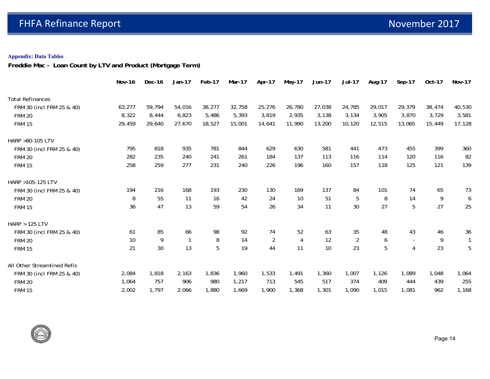#### **Appendix: Data Tables**

**Freddie Mac - Loan Count by LTV and Product (Mortgage Term)**

|                             | <b>Nov-16</b> | Dec-16 | Jan-17 | Feb-17 | Mar-17 | Apr-17         | May-17 | Jun-17 | <b>Jul-17</b>  | Aug-17 | Sep-17         | Oct-17         | <b>Nov-17</b> |
|-----------------------------|---------------|--------|--------|--------|--------|----------------|--------|--------|----------------|--------|----------------|----------------|---------------|
| <b>Total Refinances</b>     |               |        |        |        |        |                |        |        |                |        |                |                |               |
| FRM 30 (incl FRM 25 & 40)   | 63,277        | 59,794 | 54,016 | 38,277 | 32,758 | 25,276         | 26,780 | 27,038 | 24,785         | 29,017 | 29,379         | 38,474         | 40,530        |
| <b>FRM 20</b>               | 8,322         | 8,444  | 6,823  | 5,486  | 5,393  | 3,819          | 2,935  | 3,138  | 3,134          | 3,905  | 3,870          | 3,729          | 3,581         |
| <b>FRM 15</b>               | 29,459        | 29,640 | 27,670 | 18,527 | 15,001 | 14,641         | 11,990 | 13,200 | 10,120         | 12,515 | 13,065         | 15,449         | 17,128        |
| HARP >80-105 LTV            |               |        |        |        |        |                |        |        |                |        |                |                |               |
| FRM 30 (incl FRM 25 & 40)   | 795           | 818    | 935    | 781    | 844    | 629            | 630    | 581    | 441            | 473    | 455            | 399            | 360           |
| <b>FRM 20</b>               | 282           | 235    | 240    | 241    | 261    | 184            | 137    | 113    | 116            | 114    | 120            | 116            | 82            |
| <b>FRM 15</b>               | 258           | 259    | 277    | 231    | 240    | 226            | 196    | 160    | 157            | 118    | 125            | 121            | 139           |
| HARP >105-125 LTV           |               |        |        |        |        |                |        |        |                |        |                |                |               |
| FRM 30 (incl FRM 25 & 40)   | 194           | 216    | 168    | 193    | 230    | 130            | 169    | 137    | 84             | 101    | 74             | 65             | 73            |
| <b>FRM 20</b>               | 8             | 55     | 11     | 16     | 42     | 24             | 10     | 51     | 5              | 8      | 14             | 9              | 6             |
| <b>FRM 15</b>               | 36            | 47     | 13     | 59     | 54     | 26             | 34     | 11     | 30             | 27     | 5              | 27             | 25            |
| <b>HARP &gt; 125 LTV</b>    |               |        |        |        |        |                |        |        |                |        |                |                |               |
| FRM 30 (incl FRM 25 & 40)   | 61            | 85     | 66     | 98     | 92     | 74             | 52     | 63     | 35             | 48     | 43             | 46             | 36            |
| <b>FRM 20</b>               | 10            | 9      | 1      | 8      | 14     | $\overline{2}$ | 4      | 12     | $\overline{2}$ | 6      | $\sim$         | $\overline{9}$ | $\mathbf{1}$  |
| <b>FRM 15</b>               | 21            | 30     | 13     | 5      | 19     | 44             | 11     | 10     | 23             | 5      | $\overline{4}$ | 23             | 5             |
| All Other Streamlined Refis |               |        |        |        |        |                |        |        |                |        |                |                |               |
| FRM 30 (incl FRM 25 & 40)   | 2,084         | 1,818  | 2,163  | 1,836  | 1,960  | 1,533          | 1,491  | 1,360  | 1,007          | 1,126  | 1,089          | 1,048          | 1,064         |
| <b>FRM 20</b>               | 1,064         | 757    | 906    | 980    | 1,217  | 713            | 545    | 517    | 374            | 409    | 444            | 439            | 255           |
| <b>FRM 15</b>               | 2,002         | 1,797  | 2,066  | 1,880  | 1,669  | 1,900          | 1,368  | 1,301  | 1,090          | 1,015  | 1,081          | 962            | 1,168         |

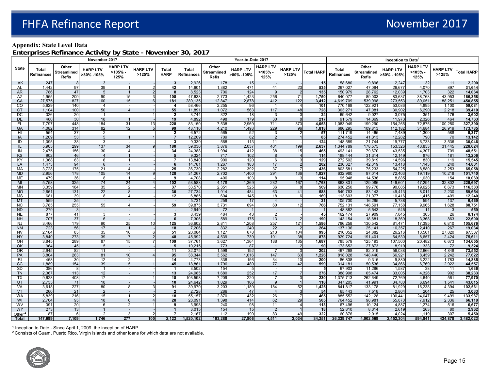#### **Appendix: State Level Data**

**Enterprises Refinance Activity by State - November 30, 2017**

|                        |                                   |                                             | November 2017                 |                                  |                                  |                               | Year-to-Date 2017          |                                             |                               |                                      |                          |                       |                                   |                                             | Inception to Date <sup>1</sup> |                                  |                          |                    |  |
|------------------------|-----------------------------------|---------------------------------------------|-------------------------------|----------------------------------|----------------------------------|-------------------------------|----------------------------|---------------------------------------------|-------------------------------|--------------------------------------|--------------------------|-----------------------|-----------------------------------|---------------------------------------------|--------------------------------|----------------------------------|--------------------------|--------------------|--|
| <b>State</b>           | <b>Total</b><br><b>Refinances</b> | Other<br><b>Streamlined</b><br><b>Refis</b> | <b>HARP LTV</b><br>>80% -105% | <b>HARP LTV</b><br>>105%<br>125% | <b>HARP LTV</b><br>>125%         | <b>Total</b><br><b>HARP</b>   | Total<br><b>Refinances</b> | Other<br><b>Streamlined</b><br><b>Refis</b> | <b>HARP LTV</b><br>>80% -105% | <b>HARP LTV</b><br>$>105%$ -<br>125% | <b>HARP LTV</b><br>>125% | <b>Total HARP</b>     | <b>Total</b><br><b>Refinances</b> | Other<br><b>Streamlined</b><br><b>Refis</b> | <b>HARP LTV</b><br>>80% - 105% | <b>HARP LTV</b><br>>105%<br>125% | <b>HARP LTV</b><br>>125% | <b>Total HARP</b>  |  |
| AK                     | 247                               | -8                                          |                               |                                  |                                  | 3                             | 2,926                      | 178                                         | 15                            |                                      |                          | 15                    | 58,680                            | 9,896                                       | 2,247                          | 32                               | 11                       | 2,290              |  |
| AL                     | 1,442                             | 97                                          | 39                            |                                  | 2                                | 42                            | 14,601                     | 1,382                                       | 471                           | 41                                   | 23                       | 535                   | 267,027                           | 47,094                                      | 26,677                         | 4,070                            | 897                      | 31,644             |  |
| <b>AR</b>              | 786                               | 47                                          | 5 <sup>1</sup>                |                                  | $\overline{2}$                   | 8                             | 8,523                      | 706                                         | 124                           | 9                                    | $\overline{2}$           | 135                   | 150,979                           | 28,762                                      | 12,039                         | 1,703                            | 322                      | 14,064             |  |
| AZ<br>CA               | 4,955<br>27,575                   | 209<br>827                                  | 90<br>160                     | 15 <sub>l</sub><br>15            | 3 <sup>1</sup><br>6 <sup>1</sup> | 108<br>181                    | 47,638<br>289,135          | 2,773<br>12,847                             | 1,423<br>2,878                | 256<br>412                           | 71<br>122                | 1,750<br>3,412        | 640,077<br>4,619,709              | 89,003<br>539.998                           | 83,637<br>273,553              | 38,768<br>89,051                 | 43,953<br>88.251         | 166,358<br>450,855 |  |
| CO                     | 5,629                             | 140                                         |                               |                                  |                                  | $\overline{\mathbf{4}}$       | 58,466                     | 2,255                                       | 96                            |                                      | $\overline{4}$           | 101                   | 770,168                           | 122,921                                     | 53,086                         | 4,895                            | 1,100                    | 59,081             |  |
| <b>CT</b>              | 1,104                             | 100                                         | 50                            |                                  |                                  | 55                            | 11,891                     | 1,072                                       | 563                           | 117                                  | 48                       | 728                   | 303,271                           | 47,081                                      | 30,902                         | 6,290                            | 2,218                    | 39,410             |  |
| $\overline{DC}$        | 326                               | 20                                          | $\overline{1}$                |                                  |                                  | 2                             | 3,744                      | 322                                         | 18                            | $\mathbf{3}$                         | 3 <sup>l</sup>           | 24                    | 69,642                            | 9,027                                       | 3,075                          | 351                              | 176                      | 3,602              |  |
| DE                     | 480                               | 30                                          | 18                            |                                  |                                  | 19                            | 4,892                      | 498                                         | 179                           | 30                                   | 8                        | 217                   | 91,579                            | 14,369                                      | 11,973                         | 2,326                            | 464                      | 14,763             |  |
| <b>FL</b>              | 7,797                             | 448                                         | 184                           | 31                               | 13                               | 228                           | 83,150                     | 7,538                                       | 2,969                         | 711                                  | 373                      | 4,053                 | 1,083,049                         | 199,290                                     | 154,265                        | 72,875                           | 100,250                  | 327,390            |  |
| GA                     | 4,082                             | 314                                         | 82                            | 12                               | 5 <sub>l</sub>                   | 99                            | 43,110                     | 4,210                                       | 1,493                         | 229                                  | 96                       | 1,818                 | 686,295                           | 109,813                                     | 112,182                        | 34,684                           | 26,919                   | 173,785            |  |
| HI                     | 554                               | 37                                          | 2                             |                                  |                                  | $\overline{2}$                | 6,572                      | 565                                         | 52                            | $\mathbf{3}$                         | $\overline{2}$           | 57                    | 111.719                           | 14.465                                      | 7.489                          | 1,300                            | 588                      | 9.377              |  |
| IA                     | 1,209                             | 53                                          | 5                             |                                  |                                  | $\overline{7}$                | 12,209                     | 709                                         | 82                            | 2                                    | 1                        | 85                    | 274,452                           | 41,313                                      | 12,282                         | 790                              | 70                       | 13,142             |  |
| ID                     | 1,095                             | 38                                          | з                             |                                  |                                  | $\mathbf{3}$                  | 9,339                      | 568                                         | 113                           | 11                                   |                          | 124                   | 148,589                           | 21,744                                      | 19,777                         | 6,733                            | 3,536                    | 30,046             |  |
| $\mathbf{I}$           | 5,905                             | 299                                         | 137                           | 34                               | 9 <sup>1</sup>                   | 180                           | 59,030                     | 3,876                                       | 2,037                         | 401                                  | 199                      | 2,637                 | 1,344,789                         | 178,575                                     | 153,326                        | 43,853                           | 31,445                   | 228,624            |  |
| IN<br><b>KS</b>        | 2,475<br>902                      | 156<br>46                                   | 30                            | $\boldsymbol{\Lambda}$           |                                  | 34<br>5                       | 24,388<br>9,324            | 1,994<br>717                                | 412<br>102                    | 38<br>8                              | 15<br>$\overline{4}$     | 465<br>114            | 493,141<br>188,444                | 79,670<br>31,314                            | 43,535<br>12,149               | 4,307<br>876                     | 709<br>181               | 48,551<br>13,206   |  |
| KY                     | 1,368                             | 63                                          | 6                             |                                  |                                  | $\overline{7}$                | 13,840                     | 900                                         | 120                           | $6 \overline{6}$                     | 3 <sup>1</sup>           | 129                   | 272,502                           | 39,819                                      | 14,596                         | 830                              | 119                      | 15,545             |  |
| LA                     | 1,473                             | 94                                          | $6\overline{6}$               |                                  |                                  | 6                             | 14,781                     | 1,267                                       | 183                           | 17                                   | $\overline{2}$           | 202                   | 236,327                           | 42,319                                      | 13,418                         | 1,143                            | 240                      | 14,801             |  |
| MA                     | 3,728                             | 175                                         | 21                            |                                  |                                  | 25                            | 36,730                     | 2,282                                       | 392                           | 37                                   | 7 <sup>1</sup>           | 436                   | 803,581                           | 75,233                                      | 54,225                         | 8,580                            | 2,253                    | 65,058             |  |
| <b>MD</b>              | 2,956                             | 178                                         | 105                           | 14                               | 91                               | 128                           | 31,267                     | 2,702                                       | 1,400                         | 291                                  | 136                      | 1,827                 | 632,980                           | 97,014                                      | 72,403                         | 19,119                           | 10,218                   | 101,740            |  |
| ME                     | 479                               | 36                                          | 8                             |                                  |                                  | 9                             | 4,708                      | 406                                         | 103                           | 8                                    | $\mathbf{3}$             | 114                   | 95,948                            | 14,536                                      | 8,885                          | 1,030                            | 154                      | 10,069             |  |
| MI                     | 5,758                             | 325                                         | 74                            | 24                               | $\Lambda$                        | 102                           | 53,583                     | 4,178                                       | 1,369                         | 232                                  | 167                      | 1,768                 | 863,831                           | 129,086                                     | 149,601                        | 47,294                           | 32,802                   | 229,697            |  |
| <b>MN</b>              | 3,359                             | 184                                         | 35                            | $\overline{2}$                   |                                  | 37                            | 33,570                     | 2,351                                       | 525                           | 36                                   | 8                        | 569                   | 630,250                           | 99,778                                      | 90,085                         | 19,625                           | 6,673                    | 116,383            |  |
| <b>MO</b>              | 2,661                             | 131                                         | 22                            | R                                |                                  | 30                            | 27,734                     | 1,914                                       | 484                           | 63                                   | 41                       | 588                   | 549,763                           | 83,143                                      | 49,413                         | 8,011                            | 2,230                    | 59,654             |  |
| <b>MS</b>              | 681                               | 39                                          | 81                            | 4                                |                                  | 12                            | 6,885                      | 604                                         | 145                           | 18                                   | $6 \overline{6}$         | 169                   | 113.603                           | 21.077                                      | 10.416                         | 1,415                            | 409                      | 12,240             |  |
| <b>MT</b>              | 559                               | 25                                          |                               |                                  |                                  |                               | 5,731                      | 259                                         | 17                            | $\overline{4}$                       |                          | 21                    | 105,730                           | 16,295                                      | 5,738                          | 594                              | 137                      | 6,469              |  |
| <b>NC</b>              | 3,785                             | 255                                         | 55                            | 4                                |                                  | 59                            | 39,875                     | 3,731                                       | 694                           | 60                                   | 12                       | 766<br>$\overline{1}$ | 752,131                           | 148,591                                     | 77,158                         | 9,965                            | 1,628                    | 88,751             |  |
| <b>ND</b><br><b>NE</b> | 279<br>877                        | 3<br>41                                     | 3                             |                                  |                                  | 3                             | 2,949<br>8,439             | 72<br>484                                   | 43                            | $\overline{2}$                       |                          | 45                    | 48,882<br>162,474                 | 5,543<br>27,909                             | 545<br>7,845                   | 11<br>303                        | $\mathbf{3}$<br>26       | 559<br>8,174       |  |
| <b>NH</b>              | 707                               | 37                                          | 6                             |                                  |                                  | 6                             | 7,306                      | 589                                         | $\overline{175}$              | 13                                   | $\overline{2}$           | 190                   | 143,154                           | 18,881                                      | 18,369                         | 3,368                            | 863                      | 22,600             |  |
| <b>NJ</b>              | 3,466                             | 179                                         | 90                            | 25                               | 10                               | 125                           | 36,602                     | 2,811                                       | 1,208                         | 257                                  | 121                      | 1,586                 | 786,258                           | 130,542                                     | 81,471                         | 17,395                           | 6,810                    | 105,676            |  |
| <b>NM</b>              | 723                               | 56                                          | 17                            |                                  |                                  | 18                            | 7,206                      | 832                                         | 240                           | 22                                   | $\overline{2}$           | 264                   | 137,136                           | 25,141                                      | 16,357                         | 2,410                            | 267                      | 19,034             |  |
| <b>NV</b>              | 2,184                             | 85                                          | 35                            | 10 <sup>1</sup>                  | $6 \overline{6}$                 | 51                            | 20,084                     | 1,127                                       | 678                           | 213                                  | 104                      | 995                   | 210.052                           | 24.882                                      | 26,216                         | 13,501                           | 27,820                   | 67,537             |  |
| <b>NY</b>              | 3,840                             | 273                                         | 39                            | $\overline{7}$                   | 2 <sup>1</sup>                   | 48                            | 45,992                     | 4,539                                       | 739                           | 101                                  | 38                       | 878                   | 929,724                           | 191,401                                     | 64,530                         | 8,657                            | 2,424                    | 75,611             |  |
| OH                     | 3,845                             | 289                                         | 87                            | 15                               |                                  | 109                           | 37,761                     | 3,627                                       | 1,364                         | 188                                  | 135                      | 1,687                 | 785,579                           | 125,193                                     | 107,500                        | 20,482                           | 6,673                    | 134,655            |  |
| OK                     | 964                               | 45                                          | 5 <sup>1</sup>                |                                  |                                  | 5                             | 10.215                     | 773                                         | 87                            |                                      | 2                        | 90                    | 173.652                           | 27.873                                      | 8.919                          | 333                              | 72                       | 9,324              |  |
| <b>OR</b>              | 2,945                             | 82                                          | 11                            |                                  |                                  | 11                            | 32,075                     | 1,599                                       | 192                           | $\overline{7}$                       | -3 I                     | 202                   | 467,268                           | 82,019                                      | 56,038                         | 12,666                           | 4,848                    | 73,552             |  |
| PA                     | 3,804                             | 263                                         | 81                            | 10 <sup>1</sup>                  |                                  | 95                            | 38,344                     | 3,562                                       | 1.016                         | 147                                  | 63                       | 1,226                 | 818,028                           | 148,440                                     | 66,921                         | 8,459                            | 2.242                    | 77,622             |  |
| R <sub>l</sub>         | 458                               | 30                                          | 12                            | $\overline{2}$<br>5              |                                  | 14                            | 4,773                      | 338                                         | 156                           | 34<br>77                             | 10 <sup>1</sup>          | 200                   | 86,838                            | 9.315                                       | 9.880                          | 3.222                            | 1,783                    | 14,885             |  |
| SC<br>SD               | 1,889<br>386                      | 154<br>-8                                   | 39<br>$\vert$ 1               |                                  |                                  | 45<br>$\overline{\mathbf{1}}$ | 18,861<br>3,502            | 1,796<br>154                                | 480<br>-5                     |                                      | 42                       | 599<br>5              | 314,181<br>67,903                 | 50,536<br>11,296                            | 34,866<br>1,587                | 6,769<br>38                      | 2,922<br>11              | 44,557<br>1,636    |  |
| <b>TN</b>              | 2,367                             | 113                                         | 12                            |                                  |                                  | 13                            | 24,985                     | 1,680                                       | 252                           | 17                                   | $\overline{7}$           | 276                   | 388,998                           | 65,474                                      | 33,005                         | 4,326                            | 902                      | 38,233             |  |
| ТX                     | 9,628                             | 408                                         | 17                            |                                  |                                  | 18                            | 103,598                    | 7,209                                       | 220                           | 71                                   | 3 <sup>1</sup>           | 230                   | 1,375,713                         | 262,649                                     | 72,769                         | 4,640                            | 561                      | 77,970             |  |
| UT                     | 2,735                             | 71                                          | 10 <sup>1</sup>               |                                  |                                  | 10                            | 24,642                     | 1,029                                       | 106                           | 9                                    |                          | 116                   | 347,205                           | 41,991                                      | 34,780                         | 6,694                            | 1,541                    | 43,015             |  |
| VA                     | 3,618                             | 227                                         | 80                            |                                  |                                  | 91                            | 39,970                     | 3,203                                       | 1,189                         | 184                                  | 52                       | 1,425                 | 841,817                           | 133,178                                     | 81,929                         | 16,238                           | 4,394                    | 102,561            |  |
| <b>VT</b>              | 260                               | 21                                          | $\mathcal{P}$                 |                                  |                                  | $\overline{2}$                | 2,728                      | 286                                         | 47                            | $\overline{4}$                       | $\overline{3}$           | 54                    | 65.443                            | 7,518                                       | 2.804                          | 204                              | 25                       | 3,033              |  |
| <b>WA</b>              | 5,839                             | 216                                         | 15                            |                                  | $\mathfrak{p}$                   | 18                            | 55,157                     | 2,870                                       | 432                           | 26                                   | $\overline{7}$           | 465                   | 885,552                           | 142,128                                     | 100,441                        | 24,047                           | 9,499                    | 133,987            |  |
| WI                     | 2,764                             | 95                                          | 18                            | $6 \mid$                         | $\overline{4}$                   | 28                            | 28,091                     | 1,398                                       | 414                           | 62                                   | 29                       | 505                   | 764,452                           | 98,981                                      | 55,870                         | 7,912                            | 2,336                    | 66,118             |  |
| <b>WV</b>              | 391                               | 20                                          | 6                             | 2                                |                                  | 9                             | 3,998                      | 240                                         | 98                            | 11                                   | $\overline{4}$           | 113                   | 67,496                            | 10,124                                      | 4,887                          | 1,274                            | 516                      | 6,677              |  |
| <b>WY</b>              | 273                               | 13                                          |                               |                                  |                                  | $\overline{1}$                | 3,015                      | 154                                         | 15                            | 2                                    |                          | 18                    | 52,810                            | 8,314                                       | 2,619                          | 263                              | 80                       | 2,962              |  |
| Other <sup>2</sup>     | 87<br>147,699                     | 6<br>7.109                                  | 1.746                         | 277                              | 100                              | 7<br>2,123                    | 2,167<br>1,520,102         | 112<br>103,288                              | 190<br>27,806                 | 83<br>4,511                          | 49<br>2.034              | 322                   | 60,876<br>26,339,747              | 2,015<br>4,002,569                          | 4,024<br>2,452,304             | 1,119                            | 307<br>434,878           | 5,450              |  |
| Total                  |                                   |                                             |                               |                                  |                                  |                               |                            |                                             |                               |                                      |                          | 34,351                |                                   |                                             |                                | 594,841                          |                          | 3,482,023          |  |

1 Inception to Date - Since April 1, 2009, the inception of HARP.

 $^2$  Consists of Guam, Puerto Rico, Virgin Islands and other loans for which data are not available.

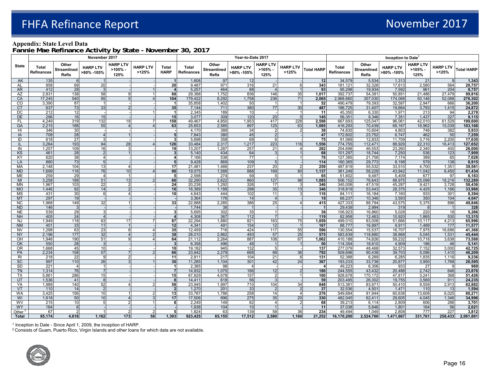#### **Appendix: State Level Data**

**Fannie Mae Refinance Activity by State - November 30, 2017**

|                             |                                   |                                             | November 2017                 |                                  |                          |                              |                            |                                             | Year-to-Date 2017             |                                      |                          | Inception to Date <sup>1</sup> |                            |                                             |                               |                                  |                          |                    |
|-----------------------------|-----------------------------------|---------------------------------------------|-------------------------------|----------------------------------|--------------------------|------------------------------|----------------------------|---------------------------------------------|-------------------------------|--------------------------------------|--------------------------|--------------------------------|----------------------------|---------------------------------------------|-------------------------------|----------------------------------|--------------------------|--------------------|
| <b>State</b>                | <b>Total</b><br><b>Refinances</b> | Other<br><b>Streamlined</b><br><b>Refis</b> | <b>HARP LTV</b><br>>80% -105% | <b>HARP LTV</b><br>>105%<br>125% | <b>HARP LTV</b><br>>125% | <b>Total</b><br><b>HARP</b>  | Total<br><b>Refinances</b> | Other<br><b>Streamlined</b><br><b>Refis</b> | <b>HARP LTV</b><br>>80% -105% | <b>HARP LTV</b><br>$>105%$ -<br>125% | <b>HARP LTV</b><br>>125% | <b>Total HARP</b>              | Total<br><b>Refinances</b> | Other<br><b>Streamlined</b><br><b>Refis</b> | <b>HARP LTV</b><br>>80% -105% | <b>HARP LTV</b><br>>105%<br>125% | <b>HARP LTV</b><br>>125% | <b>Total HARP</b>  |
| AK                          | 135                               |                                             |                               |                                  |                          | $\overline{\mathbf{1}}$      | 1,608                      | 97                                          | 12                            |                                      |                          | 12                             | 34,579                     | 5,534                                       | 1,313                         | 21                               | 9                        | 1,343              |
| AL.                         | 858                               | 69                                          | 20                            |                                  |                          | 20                           | 9,487                      | 971                                         | 316                           | 21                                   | 6                        | 343                            | 181,121                    | 32,328                                      | 17,613                        | 2,580                            | 564                      | 20,757             |
| <b>AR</b>                   | 412                               | 29                                          | $\mathcal{R}$                 |                                  |                          | $\overline{4}$               | 5,257                      | 464                                         | 88                            | $\overline{4}$                       |                          | 93                             | 95.298                     | 19.934                                      | 7,592                         | 961                              | 204                      | 8,757              |
| AZ                          | 2,831                             | 138                                         | 58                            | 5                                |                          | 68                           | 29,388                     | 1,752                                       | 836                           | 146                                  | 35                       | 1,017                          | 392,737                    | 54,381                                      | 50,851                        | 21,486                           | 27,479                   | 99,816             |
| CA<br>CO.                   | 17,245<br>3,390                   | 540<br>87                                   | 95                            |                                  | $\overline{4}$           | 104<br>-1                    | 179,422<br>35,858          | 8,292<br>1,402                              | 1,758<br>50                   | 236<br>$\overline{1}$                | 71<br>$\overline{1}$     | 2,065<br>52                    | 2,968,660<br>490,479       | 357,030<br>79,393                           | 174,068<br>32,587             | 50,146<br>2,947                  | 52,088<br>666            | 276,302<br>36,200  |
| <b>CT</b>                   | 637                               | 73                                          | 33                            | $\mathcal{D}$                    |                          | 35                           | 7,144                      | 711                                         | 380                           | 77                                   | 30                       | 487                            | 186,725                    | 31,407                                      | 19,664                        | 3,793                            | 1,415                    | 24,872             |
| $\overline{DC}$             | 212                               | $\overline{12}$                             |                               |                                  |                          | $\overline{\mathbf{1}}$      | 2,345                      | 189                                         | 10                            |                                      | $\mathbf{1}$             | 11                             | 45,350                     | 6,330                                       | 1,971                         | 213                              | 94                       | 2,278              |
| DE                          | 296                               | 16                                          | 15                            |                                  |                          | 15                           | 3,077                      | 309                                         | 120                           | 20                                   | 5 <sup>1</sup>           | 145                            | 56,351                     | 9,346                                       | 7,351                         | 1,437                            | 327                      | 9,115              |
| FL                          | 4,249                             | 319                                         | 132                           | 19                               |                          | 158                          | 49,467                     | 4,850                                       | 1,953                         | 417                                  | 228                      | 2,598                          | 667,693                    | 125,047                                     | 96,061                        | 42,010                           | 61,529                   | 199,600            |
| GA                          | 2,215                             | 188                                         | 55                            |                                  |                          | 63                           | 25,653                     | 2,585                                       | 897                           | 125                                  | 63                       | 1,085                          | 416,293                    | 70,439                                      | 69,167                        | 18,962                           | 15,039                   | 103,168            |
| HI                          | 346                               | 30                                          |                               |                                  |                          |                              | 4,170                      | 389                                         | 34                            | $\overline{2}$                       | $\overline{2}$           | 38                             | 74,835                     | 10,604                                      | 4,803                         | 748                              | 382                      | 5,933              |
| IA                          | 708                               | 28                                          |                               |                                  |                          | 5                            | 7,843                      | 380                                         | 45                            | $\overline{2}$                       |                          | 47                             | 172,602                    | 23,752                                      | 6,747                         | 462                              | 50                       | 7,259              |
| Đ                           | 618                               | $\overline{27}$                             | 3                             |                                  |                          | دى                           | 5,698                      | 358                                         | 69                            | 6                                    |                          | 75                             | 91,069                     | 12,833                                      | 11,709                        | 3,716                            | 2,205                    | 17,630             |
|                             | 3,264                             | 193                                         | 94                            | 28                               |                          | 126                          | 33,484                     | 2,317                                       | 1,217                         | 223                                  | 116                      | 1,556                          | 774,755                    | 112,471                                     | 88,929                        | 22,310                           | 16,413                   | 127,652            |
| IN                          | 1,257                             | 109                                         | 16                            | 3                                |                          | 19                           | 13,207                     | 1,287                                       | 257                           | 21                                   | $\overline{4}$           | 282                            | 254,698                    | 46,553                                      | 23,260                        | 2,340                            | 400                      | 26,000             |
| KS<br>KY                    | 461<br>620                        | 28<br>38                                    | $\overline{2}$<br>4           |                                  |                          | $\overline{\mathbf{3}}$<br>4 | 5,140<br>7,166             | 434<br>538                                  | 64<br>$\overline{77}$         | $\overline{3}$                       | $\blacktriangleleft$     | 68<br>78                       | 101,297<br>127,385         | 18,744<br>21,758                            | 7,250<br>7,174                | 536<br>389                       | 123<br>65                | 7,909<br>7,628     |
| LA                          | 880                               | 73                                          | 5                             |                                  |                          | 5                            | 9,428                      | 869                                         | 109                           | 5                                    |                          | 114                            | 160.365                    | 29,773                                      | 8,198                         | 579                              | 138                      | 8,915              |
| MA                          | 2,148                             | 104                                         | 13                            |                                  |                          | 17                           | 21,481                     | 1,466                                       | 237                           | 20                                   | 2 <sup>1</sup>           | 259                            | 487,819                    | 55,532                                      | 33,510                        | 4,700                            | 1,351                    | 39,561             |
| <b>MD</b>                   | 1,699                             | 116                                         | 76                            | 10 <sup>1</sup>                  | $\boldsymbol{\Lambda}$   | 90                           | 19,075                     | 1,588                                       | 888                           | 169                                  | 80                       | 1,137                          | 381,249                    | 58,229                                      | 43,942                        | 11,042                           | 6,450                    | 61,434             |
| ME                          | 259                               | 29                                          | $\Delta$                      |                                  |                          | 5                            | 2,598                      | 274                                         | 59                            | 5                                    |                          | 65                             | 51,602                     | 9,497                                       | 5,409                         | 677                              | 97                       | 6,183              |
| MI                          | 3,258                             | 188                                         | 51                            | 13                               | $\mathcal{P}$            | 66                           | 32,290                     | 2,622                                       | 860                           | 127                                  | 98                       | 1,085                          | 506,152                    | 76,643                                      | 88,975                        | 25,098                           | 18,216                   | 132,289            |
| MN                          | 1,967                             | 103                                         | 22                            | $\overline{2}$                   |                          | 24                           | 20,238                     | 1,292                                       | 326                           | 17                                   | $\mathbf{3}$             | 346                            | 345,006                    | 47,519                                      | 45,287                        | 9,421                            | 3,728                    | 58,436             |
| <b>MO</b>                   | 1,446                             | 92                                          | 14                            | $\overline{2}$                   |                          | 16                           | 16,389                     | 1,188                                       | 298                           | 35                                   | 13                       | 346                            | 318,819                    | 53,443                                      | 28,375                        | 4,425                            | 1,166                    | 33,966             |
| MS                          | 431                               | 30                                          | 6 <sup>1</sup>                | 4                                |                          | 10                           | 4,643                      | 444                                         | 102                           | 11                                   | 3                        | 116                            | 84,111                     | 16,184                                      | 7,160                         | 933                              | 301                      | 8,394              |
| <b>MT</b>                   | 297                               | 19                                          |                               |                                  |                          |                              | 3,364                      | 176                                         | 14                            | $\overline{4}$                       |                          | 18                             | 68,237                     | 10,346                                      | 3,593                         | 350                              | 104                      | 4,047              |
| <b>NC</b>                   | 1,968                             | 149                                         | 32                            |                                  |                          | 33                           | 22,888                     | 2,285                                       | 386                           | 25                                   | $\overline{4}$           | 415                            | 427,333                    | 88,794                                      | 43,575                        | 5,375                            | 896                      | 49,846             |
| <b>ND</b>                   | 146<br>539                        | 3<br>29                                     | 3                             |                                  |                          | 3                            | 1,744<br>5,695             | 38<br>302                                   | 35                            | $\vert$ 1                            |                          | 36                             | 29,439<br>106,923          | 2,994                                       | 319<br>5,028                  | 8<br>220                         | $\overline{1}$<br>18     | 328<br>5,266       |
| <b>NE</b><br><b>NH</b>      | 405                               | 24                                          |                               |                                  |                          | $\overline{4}$               | 4,308                      | 367                                         | 112                           | $\overline{7}$                       |                          | 119                            | 82,958                     | 16,860<br>12,463                            | 10,920                        | 1,865                            | 530                      | 13,315             |
| <b>NJ</b>                   | 1,949                             | 118                                         | 63                            | 17                               |                          | 87                           | 22,294                     | 1,880                                       | 821                           | 163                                  | 75                       | 1,059                          | 499,010                    | 83,008                                      | 51,666                        | 10,117                           | 4,213                    | 65,996             |
| <b>NM</b>                   | 401                               | 33                                          | 11                            |                                  |                          | 12                           | 4,341                      | 491                                         | 154                           | 12                                   | $\overline{1}$           | 167                            | 88,777                     | 16,897                                      | 9,911                         | 1,489                            | 177                      | 11,577             |
| <b>NV</b>                   | 1,298                             | 63                                          | 23                            | 8l                               |                          | 35                           | 12,459                     | 716                                         | 424                           | 117                                  | 55                       | 596                            | 130,554                    | 15,537                                      | 16,707                        | 7,975                            | 16,686                   | 41,368             |
| <b>NY</b>                   | 2,196                             | 177                                         | 32                            |                                  |                          | 38                           | 28,010                     | 2,862                                       | 493                           | 57                                   | 25                       | 575                            | 583,639                    | 118,880                                     | 38,868                        | 5,045                            | 1,531                    | 45,444             |
| OH                          | 1,946                             | 190                                         | 51                            | q                                |                          | 64                           | 21,112                     | 2,264                                       | 887                           | 108                                  | 67                       | 1,062                          | 410,188                    | 74,826                                      | 59,232                        | 10,718                           | 3,638                    | 73,588             |
| OK                          | 550                               | 28                                          | $\overline{3}$                |                                  |                          | $\overline{\mathbf{3}}$      | 6,358                      | 496                                         | 48                            | $\vert$ 1                            | $\overline{1}$           | 50                             | 114,354                    | 18,610                                      | 4,909                         | 186                              | 46                       | 5,141              |
| <b>OR</b>                   | 1,668                             | 45                                          | 10                            |                                  |                          | 10                           | 19,182                     | 945                                         | 132                           | 5 <sub>5</sub>                       |                          | 137                            | 277,079                    | 48,468                                      | 32,573                        | 7,152                            | 3,000                    | 42,725             |
| <b>PA</b>                   | 2,234                             | 158                                         | 57                            |                                  |                          | 66                           | 23,942                     | 2,279                                       | 668                           | 88                                   | 36                       | 792                            | 509,696                    | 90,438                                      | 39,703                        | 5,096                            | 1,410                    | 46,209             |
| R <sub>l</sub><br><b>SC</b> | 218<br>997                        | 22<br>110                                   | -91<br>26                     | 21<br>R                          |                          | 11<br>30                     | 2,811<br>11,285            | 217<br>1,104                                | 104<br>301                    | 21<br>42                             | 6<br>24                  | 131<br>367                     | 52,388<br>193,233          | 6,289<br>33,738                             | 6,285<br>20,877               | 1,835<br>3,950                   | 1,116<br>1,768           | 9,236<br>26,595    |
| <b>SD</b>                   | 221                               | $\overline{4}$                              | $\overline{1}$                |                                  |                          | $\overline{1}$               | 2,385                      | 98                                          | $\overline{4}$                |                                      |                          | $\overline{4}$                 | 49,223                     | 6,306                                       | 933                           | 27                               | 9                        | 969                |
| <b>TN</b>                   | 1,314                             | 76                                          | 7 <sup>1</sup>                |                                  |                          | $\overline{7}$               | 14,932                     | 1,075                                       | 166                           | 12                                   | $\overline{2}$           | 180                            | 244,555                    | 43,432                                      | 20,488                        | 2,742                            | 646                      | 23,876             |
| TX                          | 5,861                             | 286                                         | 15                            |                                  |                          | 15                           | 67,829                     | 4,678                                       | 157                           | $\overline{2}$                       | $\vert$ 1                | 160                            | 928,678                    | 170,172                                     | 47,817                        | 3,241                            | 368                      | 51,426             |
| UT                          | 1,536                             | 41                                          | 8                             |                                  |                          | 8                            | 14,411                     | 618                                         | 56                            | $\mathbf{3}$                         |                          | 59                             | 203,495                    | 26,302                                      | 19,755                        | 3,569                            | 911                      | 24,235             |
| VA                          | 1,989                             | 140                                         | 52                            |                                  | $\mathcal{P}$            | 58                           | 23,945                     | 1,997                                       | 710                           | 104                                  | 34                       | 848                            | 513,381                    | 83,971                                      | 50,410                        | 9,559                            | 2,913                    | 62,882             |
| VT                          | 110                               | 14                                          | 2                             |                                  |                          | $\overline{2}$               | 1,270                      | 201                                         | 33                            | $\overline{2}$                       | $\overline{2}$           | 37                             | 32,536                     | 4,501                                       | 1,471                         | 110                              | 13                       | 1,594              |
| WA                          | 3,425                             | 156                                         | 10                            |                                  | $\mathfrak{p}$           | 13                           | 33,787                     | 1,786                                       | 258                           | 14                                   | $\overline{4}$           | 276                            | 549,684                    | 91,944                                      | 60,638                        | 13,608                           | 6,025                    | 80,271             |
| WI                          | 1,618                             | 50                                          | 10                            |                                  |                          | 17                           | 17,506                     | 896                                         | 275                           | 35                                   | 20                       | 330                            | 482,045                    | 62.411                                      | 29,605                        | 4,045                            | 1,346                    | 34,996             |
| <b>WV</b>                   | 215                               | 10                                          | 5 <sup>1</sup>                |                                  |                          | 8                            | 2,249                      | 149                                         | 62                            | $\overline{4}$                       | $\overline{2}$           | 68                             | 39,213                     | 6,114                                       | 2,809                         | 606                              | 286                      | 3,701              |
| <b>WY</b>                   | 164                               | 6                                           |                               |                                  |                          | 5                            | 1,938                      | 104                                         | 10                            |                                      |                          | 11                             | 37,038                     | 5,646                                       | 1,801                         | 164                              | 56                       | 2,021              |
| Other<br>Total              | 67<br>85,174                      | 4,618                                       | 1,162                         | 173                              | 58                       | 1,393                        | 1,824<br>923,425           | 63<br>65,155                                | 139<br>17,512                 | 59<br>2,580                          | 36<br>1,160              | 234<br>21,252                  | 49,494<br>16,170,200       | 1,049<br>2,524,700                          | 2,808<br>1,471,667            | 777<br>331,761                   | 227<br>258,433           | 3,812<br>2,061,861 |
|                             |                                   |                                             |                               |                                  |                          |                              |                            |                                             |                               |                                      |                          |                                |                            |                                             |                               |                                  |                          |                    |

1 Inception to Date - Since April 1, 2009, the inception of HARP.

 $^{\rm 2}$  Consists of Guam, Puerto Rico, Virgin Islands and other loans for which data are not available.